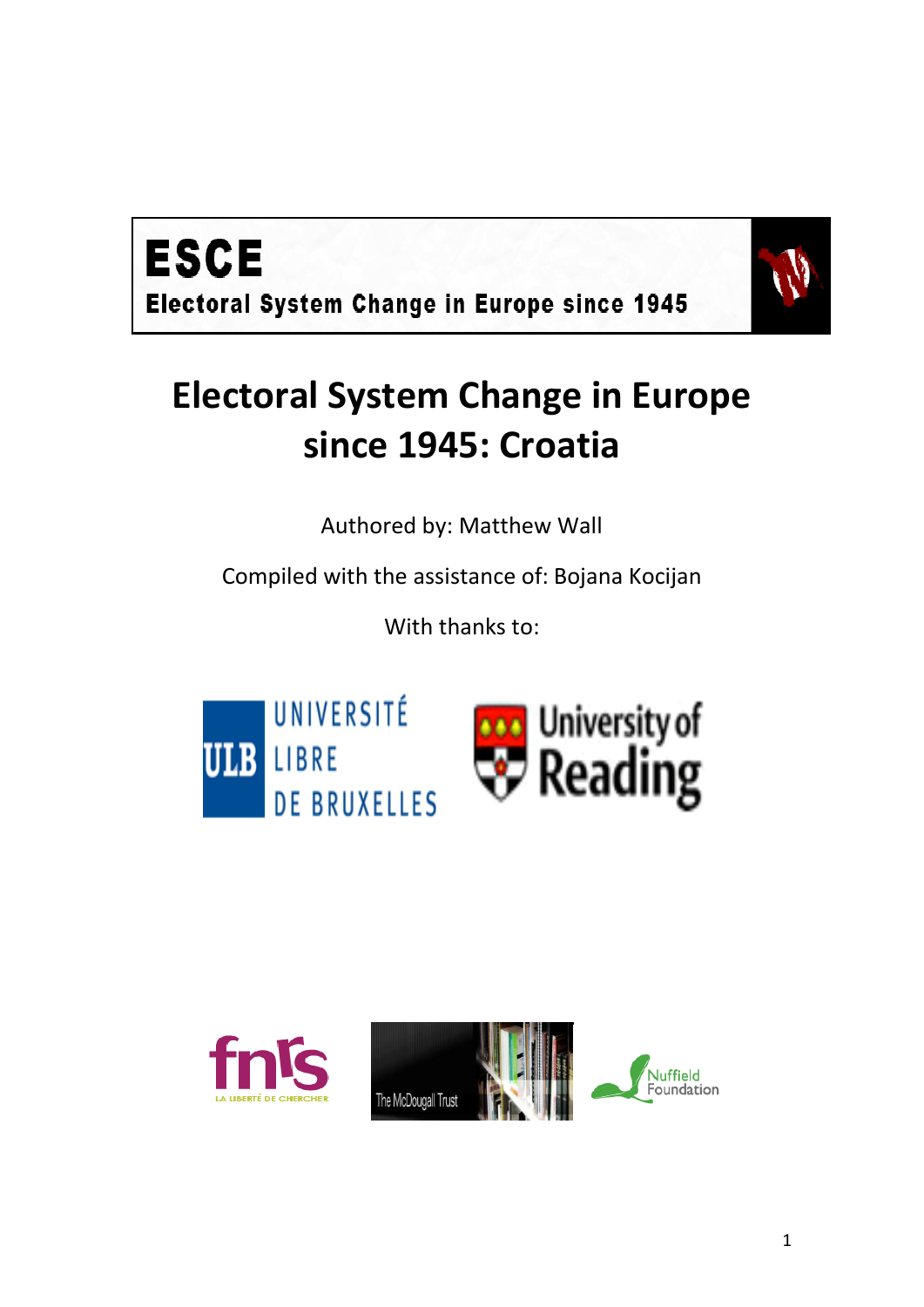



# **Electoral System Change in Europe since 1945: Croatia**

Authored by: Matthew Wall

Compiled with the assistance of: Bojana Kocijan

With thanks to:





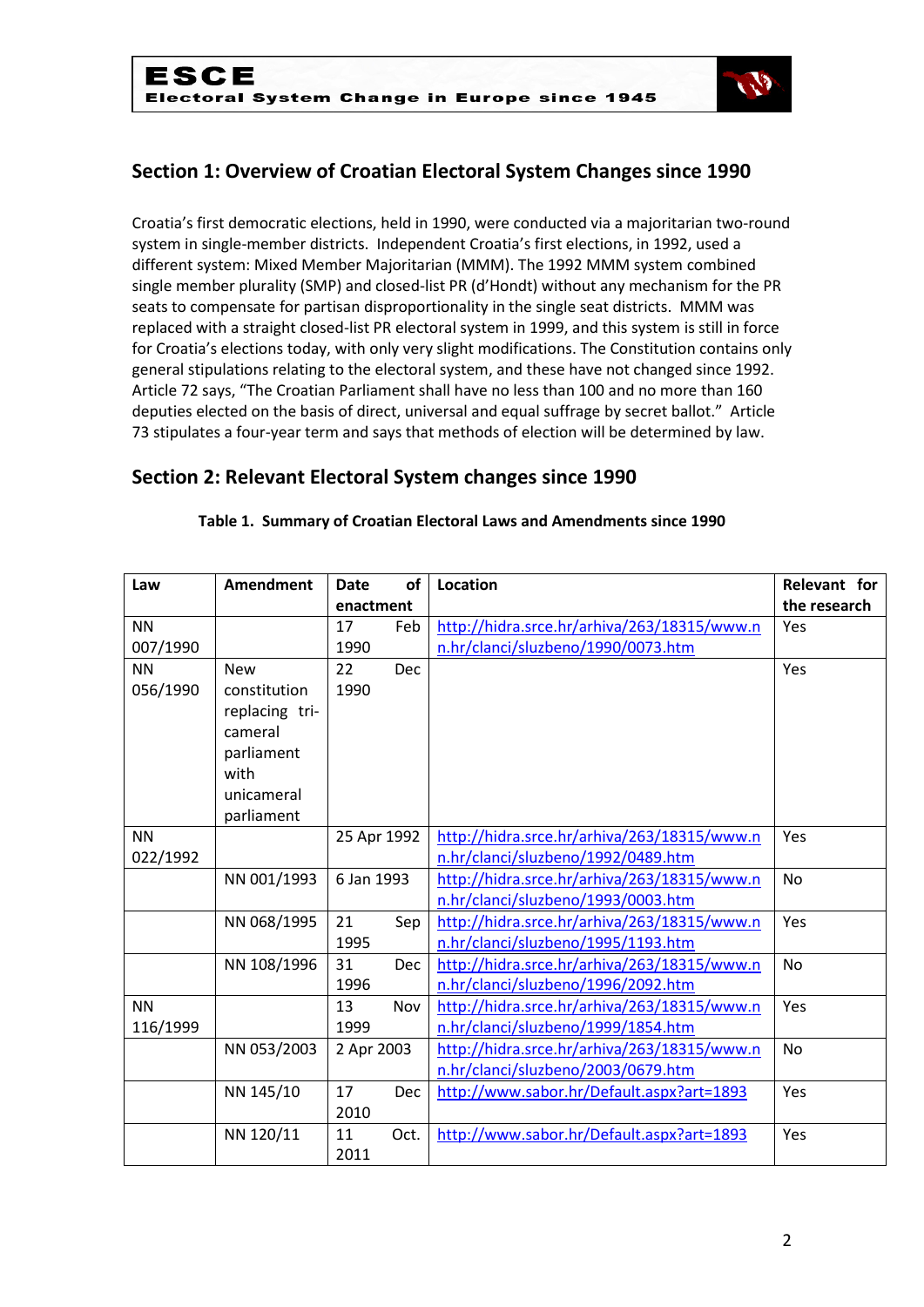

# **Section 1: Overview of Croatian Electoral System Changes since 1990**

Croatia's first democratic elections, held in 1990, were conducted via a majoritarian two-round system in single-member districts. Independent Croatia's first elections, in 1992, used a different system: Mixed Member Majoritarian (MMM). The 1992 MMM system combined single member plurality (SMP) and closed-list PR (d'Hondt) without any mechanism for the PR seats to compensate for partisan disproportionality in the single seat districts. MMM was replaced with a straight closed-list PR electoral system in 1999, and this system is still in force for Croatia's elections today, with only very slight modifications. The Constitution contains only general stipulations relating to the electoral system, and these have not changed since 1992. Article 72 says, "The Croatian Parliament shall have no less than 100 and no more than 160 deputies elected on the basis of direct, universal and equal suffrage by secret ballot." Article 73 stipulates a four-year term and says that methods of election will be determined by law.

## **Section 2: Relevant Electoral System changes since 1990**

| Law       | <b>Amendment</b> | <b>Date</b> | <b>of</b>  | <b>Location</b>                             | Relevant for |  |
|-----------|------------------|-------------|------------|---------------------------------------------|--------------|--|
|           |                  | enactment   |            |                                             | the research |  |
| <b>NN</b> |                  | 17          | Feb        | http://hidra.srce.hr/arhiva/263/18315/www.n | Yes          |  |
| 007/1990  |                  | 1990        |            | n.hr/clanci/sluzbeno/1990/0073.htm          |              |  |
| <b>NN</b> | <b>New</b>       | 22          | <b>Dec</b> |                                             | Yes          |  |
| 056/1990  | constitution     | 1990        |            |                                             |              |  |
|           | replacing tri-   |             |            |                                             |              |  |
|           | cameral          |             |            |                                             |              |  |
|           | parliament       |             |            |                                             |              |  |
|           | with             |             |            |                                             |              |  |
|           | unicameral       |             |            |                                             |              |  |
|           | parliament       |             |            |                                             |              |  |
| <b>NN</b> |                  | 25 Apr 1992 |            | http://hidra.srce.hr/arhiva/263/18315/www.n | Yes          |  |
| 022/1992  |                  |             |            | n.hr/clanci/sluzbeno/1992/0489.htm          |              |  |
|           | NN 001/1993      | 6 Jan 1993  |            | http://hidra.srce.hr/arhiva/263/18315/www.n | <b>No</b>    |  |
|           |                  |             |            | n.hr/clanci/sluzbeno/1993/0003.htm          |              |  |
|           | NN 068/1995      | 21          | Sep        | http://hidra.srce.hr/arhiva/263/18315/www.n | Yes          |  |
|           |                  | 1995        |            | n.hr/clanci/sluzbeno/1995/1193.htm          |              |  |
|           | NN 108/1996      | 31          | Dec        | http://hidra.srce.hr/arhiva/263/18315/www.n | <b>No</b>    |  |
|           |                  | 1996        |            | n.hr/clanci/sluzbeno/1996/2092.htm          |              |  |
| <b>NN</b> |                  | 13          | Nov        | http://hidra.srce.hr/arhiva/263/18315/www.n | Yes          |  |
| 116/1999  |                  | 1999        |            | n.hr/clanci/sluzbeno/1999/1854.htm          |              |  |
|           | NN 053/2003      | 2 Apr 2003  |            | http://hidra.srce.hr/arhiva/263/18315/www.n | <b>No</b>    |  |
|           |                  |             |            | n.hr/clanci/sluzbeno/2003/0679.htm          |              |  |
|           | NN 145/10        | 17          | Dec        | http://www.sabor.hr/Default.aspx?art=1893   | Yes          |  |
|           |                  | 2010        |            |                                             |              |  |
|           | NN 120/11        | 11          | Oct.       | http://www.sabor.hr/Default.aspx?art=1893   | Yes          |  |
|           |                  | 2011        |            |                                             |              |  |

#### **Table 1. Summary of Croatian Electoral Laws and Amendments since 1990**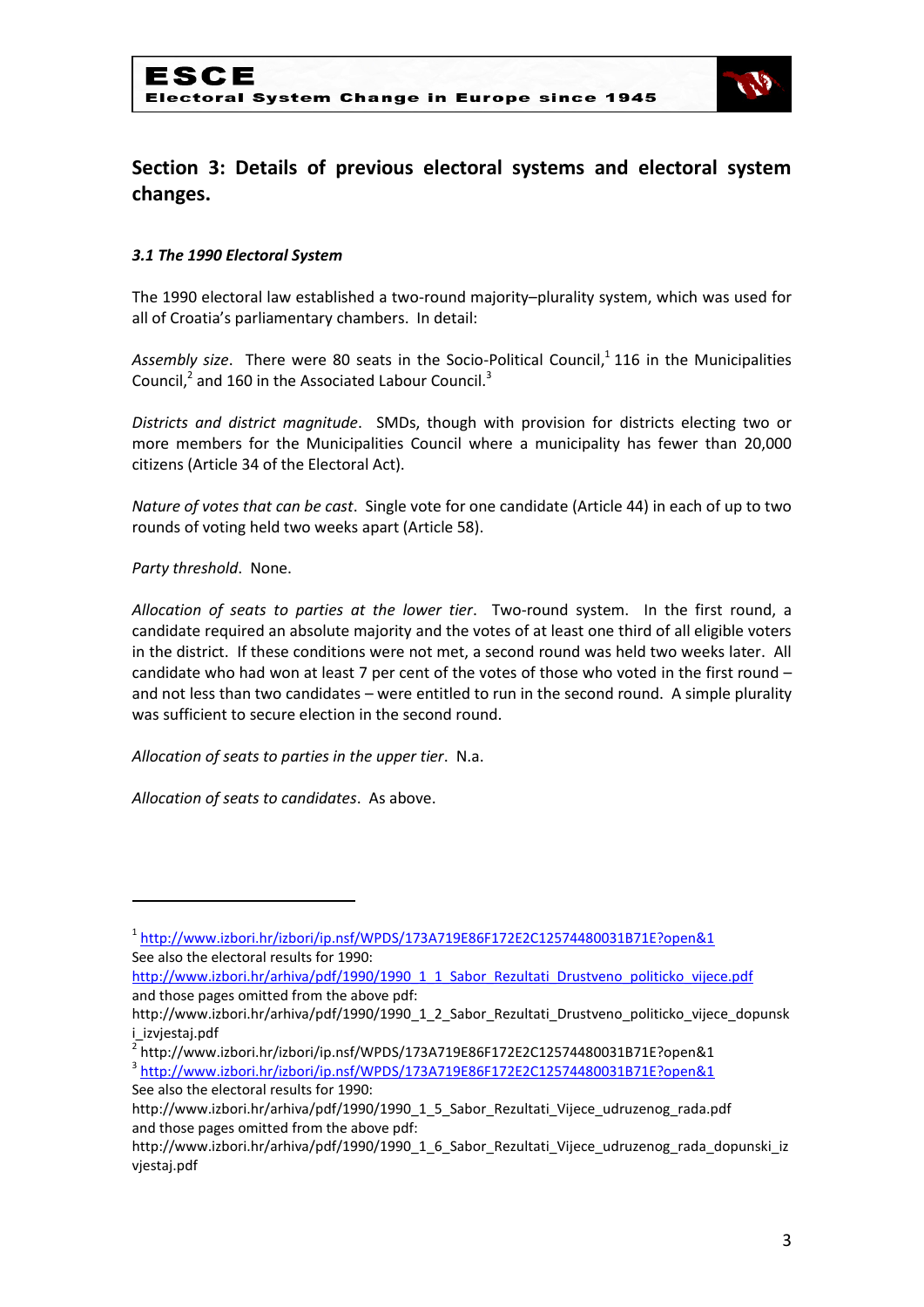

# **Section 3: Details of previous electoral systems and electoral system changes.**

#### *3.1 The 1990 Electoral System*

The 1990 electoral law established a two-round majority–plurality system, which was used for all of Croatia's parliamentary chambers. In detail:

Assembly size. There were 80 seats in the Socio-Political Council,<sup>1</sup> 116 in the Municipalities Council, $^2$  and 160 in the Associated Labour Council. $^3$ 

*Districts and district magnitude*. SMDs, though with provision for districts electing two or more members for the Municipalities Council where a municipality has fewer than 20,000 citizens (Article 34 of the Electoral Act).

*Nature of votes that can be cast*. Single vote for one candidate (Article 44) in each of up to two rounds of voting held two weeks apart (Article 58).

*Party threshold*. None.

**.** 

*Allocation of seats to parties at the lower tier*. Two-round system. In the first round, a candidate required an absolute majority and the votes of at least one third of all eligible voters in the district. If these conditions were not met, a second round was held two weeks later. All candidate who had won at least 7 per cent of the votes of those who voted in the first round – and not less than two candidates – were entitled to run in the second round. A simple plurality was sufficient to secure election in the second round.

*Allocation of seats to parties in the upper tier*. N.a.

*Allocation of seats to candidates*. As above.

3 <http://www.izbori.hr/izbori/ip.nsf/WPDS/173A719E86F172E2C12574480031B71E?open&1> See also the electoral results for 1990:

<sup>1</sup> <http://www.izbori.hr/izbori/ip.nsf/WPDS/173A719E86F172E2C12574480031B71E?open&1> See also the electoral results for 1990:

[http://www.izbori.hr/arhiva/pdf/1990/1990\\_1\\_1\\_Sabor\\_Rezultati\\_Drustveno\\_politicko\\_vijece.pdf](http://www.izbori.hr/arhiva/pdf/1990/1990_1_1_Sabor_Rezultati_Drustveno_politicko_vijece.pdf) and those pages omitted from the above pdf:

http://www.izbori.hr/arhiva/pdf/1990/1990\_1\_2\_Sabor\_Rezultati\_Drustveno\_politicko\_vijece\_dopunsk i\_izvjestaj.pdf

<sup>2</sup> http://www.izbori.hr/izbori/ip.nsf/WPDS/173A719E86F172E2C12574480031B71E?open&1

http://www.izbori.hr/arhiva/pdf/1990/1990\_1\_5\_Sabor\_Rezultati\_Vijece\_udruzenog\_rada.pdf and those pages omitted from the above pdf:

http://www.izbori.hr/arhiva/pdf/1990/1990\_1\_6\_Sabor\_Rezultati\_Vijece\_udruzenog\_rada\_dopunski\_iz vjestaj.pdf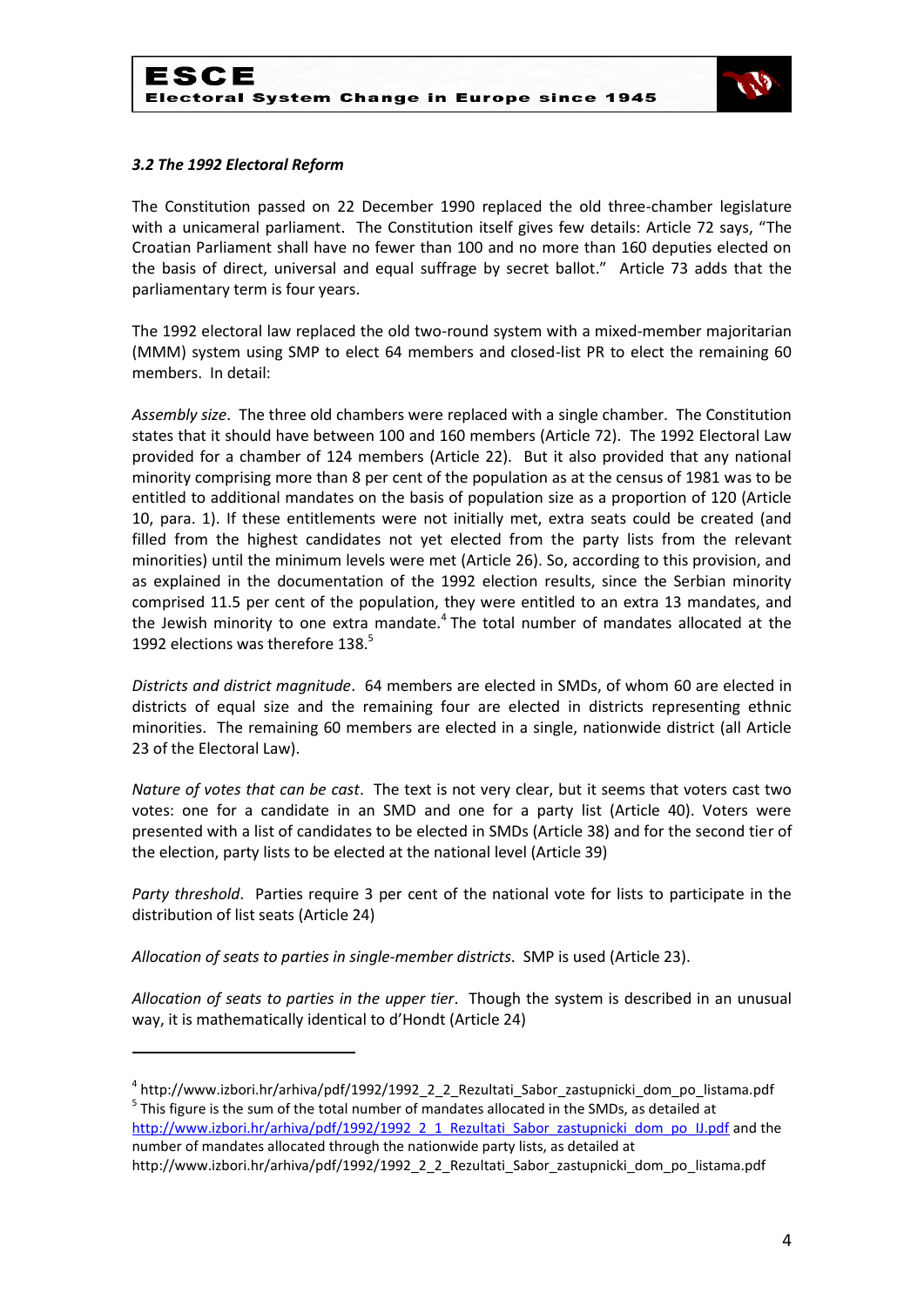

#### *3.2 The 1992 Electoral Reform*

**.** 

The Constitution passed on 22 December 1990 replaced the old three-chamber legislature with a unicameral parliament. The Constitution itself gives few details: Article 72 says, "The Croatian Parliament shall have no fewer than 100 and no more than 160 deputies elected on the basis of direct, universal and equal suffrage by secret ballot." Article 73 adds that the parliamentary term is four years.

The 1992 electoral law replaced the old two-round system with a mixed-member majoritarian (MMM) system using SMP to elect 64 members and closed-list PR to elect the remaining 60 members. In detail:

*Assembly size*. The three old chambers were replaced with a single chamber. The Constitution states that it should have between 100 and 160 members (Article 72). The 1992 Electoral Law provided for a chamber of 124 members (Article 22). But it also provided that any national minority comprising more than 8 per cent of the population as at the census of 1981 was to be entitled to additional mandates on the basis of population size as a proportion of 120 (Article 10, para. 1). If these entitlements were not initially met, extra seats could be created (and filled from the highest candidates not yet elected from the party lists from the relevant minorities) until the minimum levels were met (Article 26). So, according to this provision, and as explained in the documentation of the 1992 election results, since the Serbian minority comprised 11.5 per cent of the population, they were entitled to an extra 13 mandates, and the Jewish minority to one extra mandate. $4$  The total number of mandates allocated at the 1992 elections was therefore 138.<sup>5</sup>

*Districts and district magnitude*. 64 members are elected in SMDs, of whom 60 are elected in districts of equal size and the remaining four are elected in districts representing ethnic minorities. The remaining 60 members are elected in a single, nationwide district (all Article 23 of the Electoral Law).

*Nature of votes that can be cast*. The text is not very clear, but it seems that voters cast two votes: one for a candidate in an SMD and one for a party list (Article 40). Voters were presented with a list of candidates to be elected in SMDs (Article 38) and for the second tier of the election, party lists to be elected at the national level (Article 39)

*Party threshold*. Parties require 3 per cent of the national vote for lists to participate in the distribution of list seats (Article 24)

*Allocation of seats to parties in single-member districts*. SMP is used (Article 23).

*Allocation of seats to parties in the upper tier*. Though the system is described in an unusual way, it is mathematically identical to d'Hondt (Article 24)

<sup>&</sup>lt;sup>4</sup> http://www.izbori.hr/arhiva/pdf/1992/1992\_2\_2\_Rezultati\_Sabor\_zastupnicki\_dom\_po\_listama.pdf  $<sup>5</sup>$  This figure is the sum of the total number of mandates allocated in the SMDs, as detailed at</sup> [http://www.izbori.hr/arhiva/pdf/1992/1992\\_2\\_1\\_Rezultati\\_Sabor\\_zastupnicki\\_dom\\_po\\_IJ.pdf](http://www.izbori.hr/arhiva/pdf/1992/1992_2_1_Rezultati_Sabor_zastupnicki_dom_po_IJ.pdf) and the number of mandates allocated through the nationwide party lists, as detailed at http://www.izbori.hr/arhiva/pdf/1992/1992\_2\_2\_Rezultati\_Sabor\_zastupnicki\_dom\_po\_listama.pdf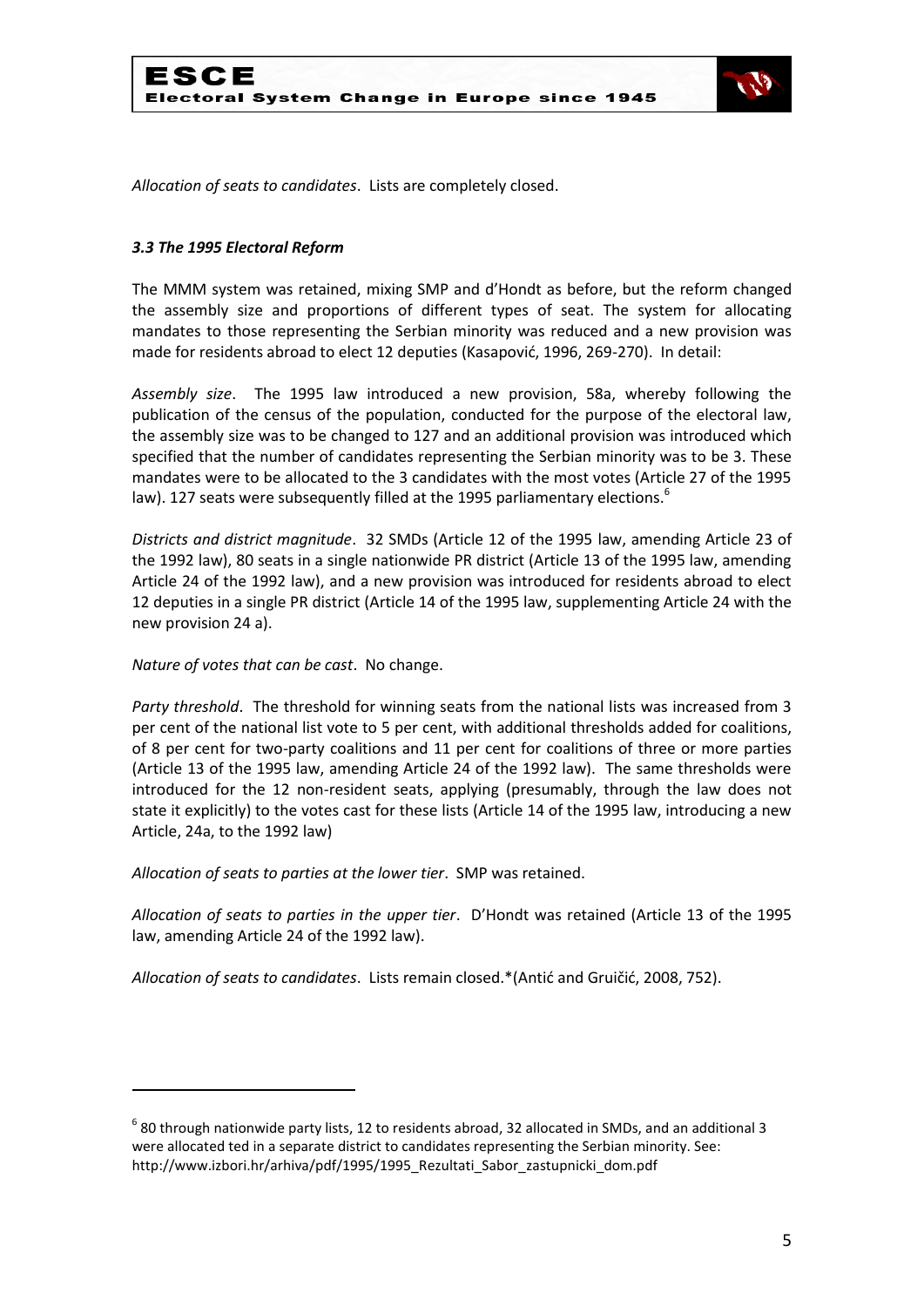

*Allocation of seats to candidates*. Lists are completely closed.

#### *3.3 The 1995 Electoral Reform*

The MMM system was retained, mixing SMP and d'Hondt as before, but the reform changed the assembly size and proportions of different types of seat. The system for allocating mandates to those representing the Serbian minority was reduced and a new provision was made for residents abroad to elect 12 deputies (Kasapović, 1996, 269-270). In detail:

*Assembly size*. The 1995 law introduced a new provision, 58a, whereby following the publication of the census of the population, conducted for the purpose of the electoral law, the assembly size was to be changed to 127 and an additional provision was introduced which specified that the number of candidates representing the Serbian minority was to be 3. These mandates were to be allocated to the 3 candidates with the most votes (Article 27 of the 1995 law). 127 seats were subsequently filled at the 1995 parliamentary elections.<sup>6</sup>

*Districts and district magnitude*. 32 SMDs (Article 12 of the 1995 law, amending Article 23 of the 1992 law), 80 seats in a single nationwide PR district (Article 13 of the 1995 law, amending Article 24 of the 1992 law), and a new provision was introduced for residents abroad to elect 12 deputies in a single PR district (Article 14 of the 1995 law, supplementing Article 24 with the new provision 24 a).

*Nature of votes that can be cast*. No change.

**.** 

*Party threshold*. The threshold for winning seats from the national lists was increased from 3 per cent of the national list vote to 5 per cent, with additional thresholds added for coalitions, of 8 per cent for two-party coalitions and 11 per cent for coalitions of three or more parties (Article 13 of the 1995 law, amending Article 24 of the 1992 law). The same thresholds were introduced for the 12 non-resident seats, applying (presumably, through the law does not state it explicitly) to the votes cast for these lists (Article 14 of the 1995 law, introducing a new Article, 24a, to the 1992 law)

*Allocation of seats to parties at the lower tier*. SMP was retained.

*Allocation of seats to parties in the upper tier*. D'Hondt was retained (Article 13 of the 1995 law, amending Article 24 of the 1992 law).

*Allocation of seats to candidates*. Lists remain closed.\*(Antić and Gruičić, 2008, 752).

 $^6$  80 through nationwide party lists, 12 to residents abroad, 32 allocated in SMDs, and an additional 3 were allocated ted in a separate district to candidates representing the Serbian minority. See: http://www.izbori.hr/arhiva/pdf/1995/1995\_Rezultati\_Sabor\_zastupnicki\_dom.pdf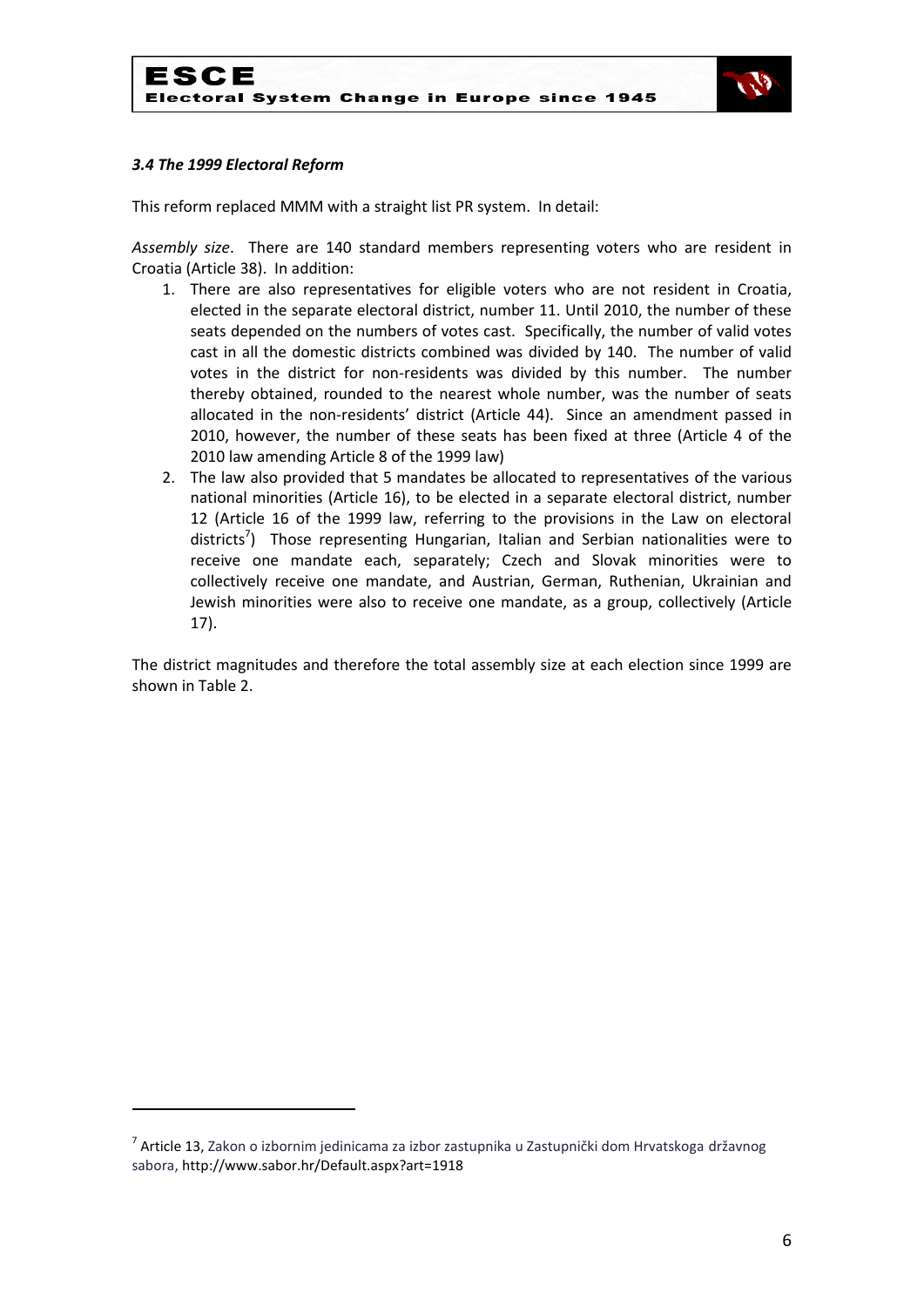

## *3.4 The 1999 Electoral Reform*

**.** 

This reform replaced MMM with a straight list PR system. In detail:

*Assembly size*. There are 140 standard members representing voters who are resident in Croatia (Article 38). In addition:

- 1. There are also representatives for eligible voters who are not resident in Croatia, elected in the separate electoral district, number 11. Until 2010, the number of these seats depended on the numbers of votes cast. Specifically, the number of valid votes cast in all the domestic districts combined was divided by 140. The number of valid votes in the district for non-residents was divided by this number. The number thereby obtained, rounded to the nearest whole number, was the number of seats allocated in the non-residents' district (Article 44). Since an amendment passed in 2010, however, the number of these seats has been fixed at three (Article 4 of the 2010 law amending Article 8 of the 1999 law)
- 2. The law also provided that 5 mandates be allocated to representatives of the various national minorities (Article 16), to be elected in a separate electoral district, number 12 (Article 16 of the 1999 law, referring to the provisions in the Law on electoral districts<sup>7</sup>) Those representing Hungarian, Italian and Serbian nationalities were to receive one mandate each, separately; Czech and Slovak minorities were to collectively receive one mandate, and Austrian, German, Ruthenian, Ukrainian and Jewish minorities were also to receive one mandate, as a group, collectively (Article 17).

The district magnitudes and therefore the total assembly size at each election since 1999 are shown in Table 2.

<sup>&</sup>lt;sup>7</sup> Article 13, Zakon o izbornim jedinicama za izbor zastupnika u Zastupnički dom Hrvatskoga državnog sabora, http://www.sabor.hr/Default.aspx?art=1918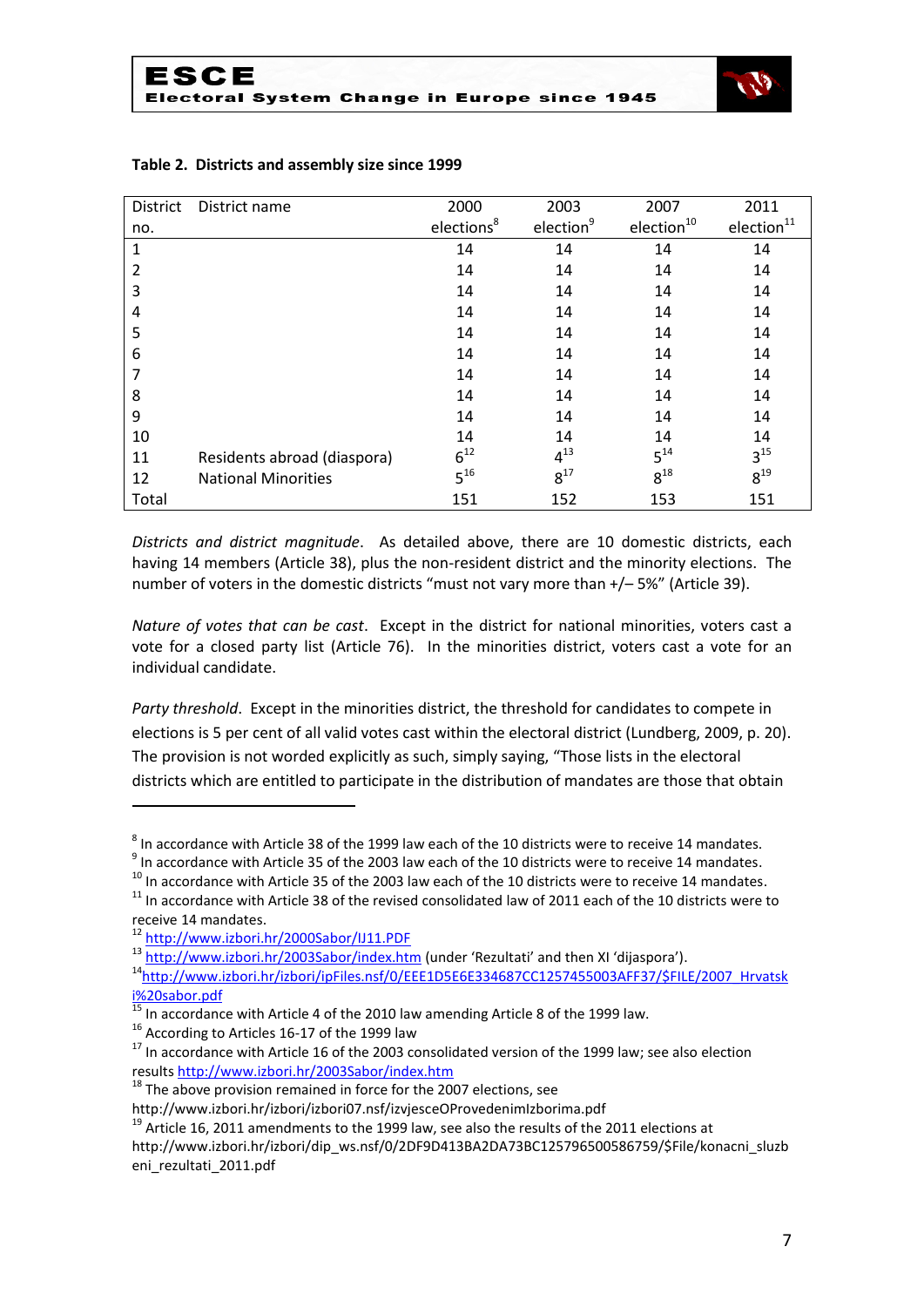

| <b>District</b> | District name               | 2000                   | 2003                  | 2007                   | 2011             |
|-----------------|-----------------------------|------------------------|-----------------------|------------------------|------------------|
| no.             |                             | elections <sup>8</sup> | election <sup>9</sup> | election <sup>10</sup> | $e$ lection $11$ |
| 1               |                             | 14                     | 14                    | 14                     | 14               |
| $\overline{2}$  |                             | 14                     | 14                    | 14                     | 14               |
| 3               |                             | 14                     | 14                    | 14                     | 14               |
| 4               |                             | 14                     | 14                    | 14                     | 14               |
| 5               |                             | 14                     | 14                    | 14                     | 14               |
| 6               |                             | 14                     | 14                    | 14                     | 14               |
|                 |                             | 14                     | 14                    | 14                     | 14               |
| 8               |                             | 14                     | 14                    | 14                     | 14               |
| 9               |                             | 14                     | 14                    | 14                     | 14               |
| 10              |                             | 14                     | 14                    | 14                     | 14               |
| 11              | Residents abroad (diaspora) | $6^{12}$               | $4^{13}$              | $5^{14}$               | $3^{15}$         |
| 12              | <b>National Minorities</b>  | $5^{16}$               | $8^{17}$              | $8^{18}$               | $8^{19}$         |
| Total           |                             | 151                    | 152                   | 153                    | 151              |

## **Table 2. Districts and assembly size since 1999**

*Districts and district magnitude*. As detailed above, there are 10 domestic districts, each having 14 members (Article 38), plus the non-resident district and the minority elections. The number of voters in the domestic districts "must not vary more than +/– 5%" (Article 39).

*Nature of votes that can be cast*. Except in the district for national minorities, voters cast a vote for a closed party list (Article 76). In the minorities district, voters cast a vote for an individual candidate.

*Party threshold*. Except in the minorities district, the threshold for candidates to compete in elections is 5 per cent of all valid votes cast within the electoral district (Lundberg, 2009, p. 20). The provision is not worded explicitly as such, simply saying, "Those lists in the electoral districts which are entitled to participate in the distribution of mandates are those that obtain

.

 $^{16}$  According to Articles 16-17 of the 1999 law

<sup>18</sup> The above provision remained in force for the 2007 elections, see

 $^8$  In accordance with Article 38 of the 1999 law each of the 10 districts were to receive 14 mandates.

 $^9$  In accordance with Article 35 of the 2003 law each of the 10 districts were to receive 14 mandates.

<sup>&</sup>lt;sup>10</sup> In accordance with Article 35 of the 2003 law each of the 10 districts were to receive 14 mandates.

 $11$  In accordance with Article 38 of the revised consolidated law of 2011 each of the 10 districts were to receive 14 mandates.

<sup>12</sup> <http://www.izbori.hr/2000Sabor/IJ11.PDF>

<sup>13</sup> <http://www.izbori.hr/2003Sabor/index.htm> (under 'Rezultati' and then XI 'dijaspora').

<sup>&</sup>lt;sup>14</sup>[http://www.izbori.hr/izbori/ipFiles.nsf/0/EEE1D5E6E334687CC1257455003AFF37/\\$FILE/2007\\_Hrvatsk](http://www.izbori.hr/izbori/ipFiles.nsf/0/EEE1D5E6E334687CC1257455003AFF37/$FILE/2007_Hrvatski%20sabor.pdf) [i%20sabor.pdf](http://www.izbori.hr/izbori/ipFiles.nsf/0/EEE1D5E6E334687CC1257455003AFF37/$FILE/2007_Hrvatski%20sabor.pdf)

In accordance with Article 4 of the 2010 law amending Article 8 of the 1999 law.

<sup>&</sup>lt;sup>17</sup> In accordance with Article 16 of the 2003 consolidated version of the 1999 law; see also election result[s http://www.izbori.hr/2003Sabor/index.htm](http://www.izbori.hr/2003Sabor/index.htm)

http://www.izbori.hr/izbori/izbori07.nsf/izvjesceOProvedenimIzborima.pdf

 $19$  Article 16, 2011 amendments to the 1999 law, see also the results of the 2011 elections at

http://www.izbori.hr/izbori/dip\_ws.nsf/0/2DF9D413BA2DA73BC125796500586759/\$File/konacni\_sluzb eni\_rezultati\_2011.pdf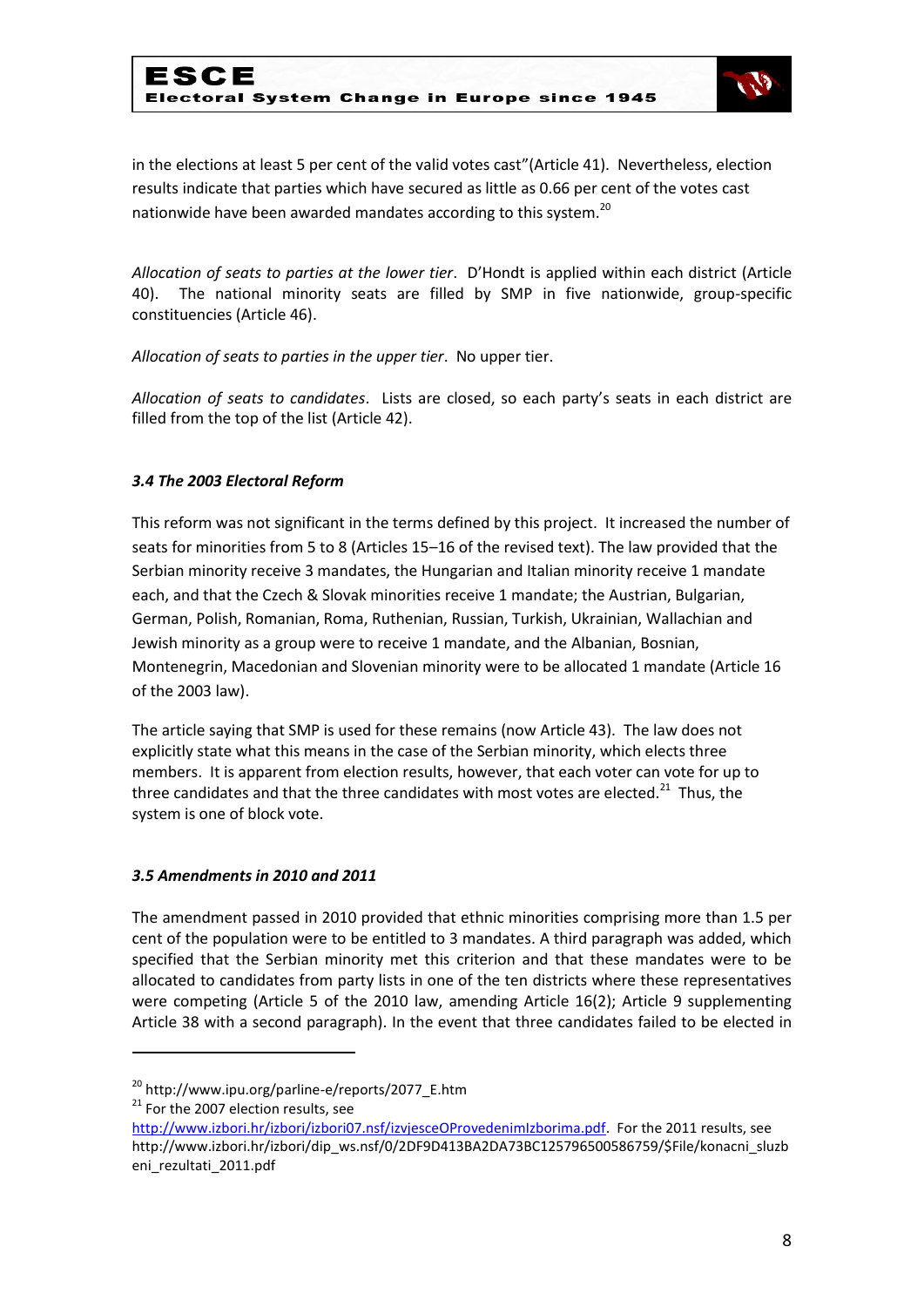

in the elections at least 5 per cent of the valid votes cast"(Article 41). Nevertheless, election results indicate that parties which have secured as little as 0.66 per cent of the votes cast nationwide have been awarded mandates according to this system.<sup>20</sup>

*Allocation of seats to parties at the lower tier*. D'Hondt is applied within each district (Article 40). The national minority seats are filled by SMP in five nationwide, group-specific constituencies (Article 46).

*Allocation of seats to parties in the upper tier*. No upper tier.

*Allocation of seats to candidates*. Lists are closed, so each party's seats in each district are filled from the top of the list (Article 42).

### *3.4 The 2003 Electoral Reform*

This reform was not significant in the terms defined by this project. It increased the number of seats for minorities from 5 to 8 (Articles 15–16 of the revised text). The law provided that the Serbian minority receive 3 mandates, the Hungarian and Italian minority receive 1 mandate each, and that the Czech & Slovak minorities receive 1 mandate; the Austrian, Bulgarian, German, Polish, Romanian, Roma, Ruthenian, Russian, Turkish, Ukrainian, Wallachian and Jewish minority as a group were to receive 1 mandate, and the Albanian, Bosnian, Montenegrin, Macedonian and Slovenian minority were to be allocated 1 mandate (Article 16 of the 2003 law).

The article saying that SMP is used for these remains (now Article 43). The law does not explicitly state what this means in the case of the Serbian minority, which elects three members. It is apparent from election results, however, that each voter can vote for up to three candidates and that the three candidates with most votes are elected.<sup>21</sup> Thus, the system is one of block vote.

### *3.5 Amendments in 2010 and 2011*

The amendment passed in 2010 provided that ethnic minorities comprising more than 1.5 per cent of the population were to be entitled to 3 mandates. A third paragraph was added, which specified that the Serbian minority met this criterion and that these mandates were to be allocated to candidates from party lists in one of the ten districts where these representatives were competing (Article 5 of the 2010 law, amending Article 16(2); Article 9 supplementing Article 38 with a second paragraph). In the event that three candidates failed to be elected in

.

<sup>20</sup> http://www.ipu.org/parline-e/reports/2077\_E.htm

<sup>&</sup>lt;sup>21</sup> For the 2007 election results, see

[http://www.izbori.hr/izbori/izbori07.nsf/izvjesceOProvedenimIzborima.pdf.](http://www.izbori.hr/izbori/izbori07.nsf/izvjesceOProvedenimIzborima.pdf) For the 2011 results, see http://www.izbori.hr/izbori/dip\_ws.nsf/0/2DF9D413BA2DA73BC125796500586759/\$File/konacni\_sluzb eni\_rezultati\_2011.pdf